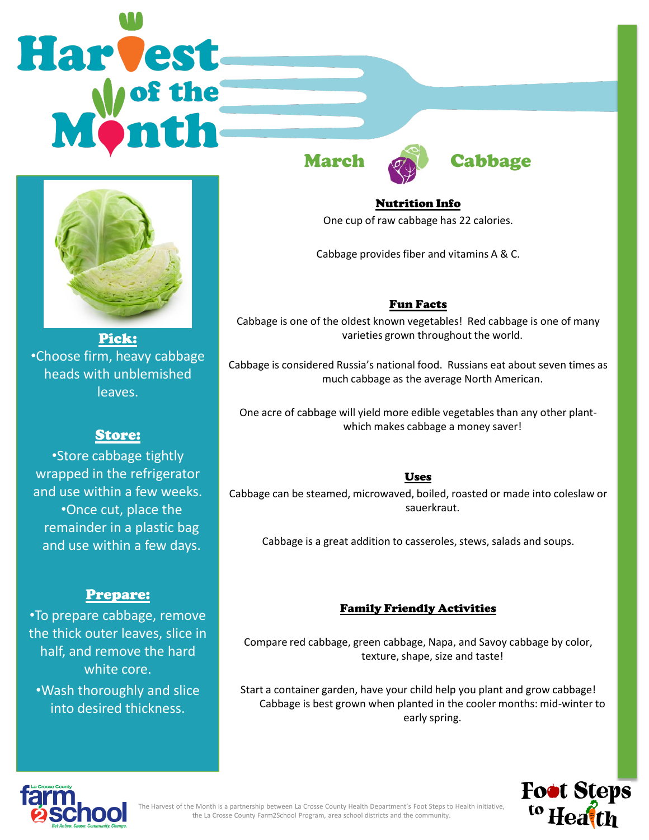# Harvest



Pick: •Choose firm, heavy cabbage heads with unblemished leaves.

# Store:

•Store cabbage tightly wrapped in the refrigerator and use within a few weeks. •Once cut, place the remainder in a plastic bag and use within a few days.

## Prepare:

•To prepare cabbage, remove the thick outer leaves, slice in half, and remove the hard white core. •Wash thoroughly and slice into desired thickness.





Nutrition Info One cup of raw cabbage has 22 calories.

Cabbage provides fiber and vitamins A & C.

### Fun Facts

Cabbage is one of the oldest known vegetables! Red cabbage is one of many varieties grown throughout the world.

Cabbage is considered Russia's national food. Russians eat about seven times as much cabbage as the average North American.

One acre of cabbage will yield more edible vegetables than any other plantwhich makes cabbage a money saver!

### Uses

Cabbage can be steamed, microwaved, boiled, roasted or made into coleslaw or sauerkraut.

Cabbage is a great addition to casseroles, stews, salads and soups.

### Family Friendly Activities

Compare red cabbage, green cabbage, Napa, and Savoy cabbage by color, texture, shape, size and taste!

Start a container garden, have your child help you plant and grow cabbage! Cabbage is best grown when planted in the cooler months: mid-winter to early spring.